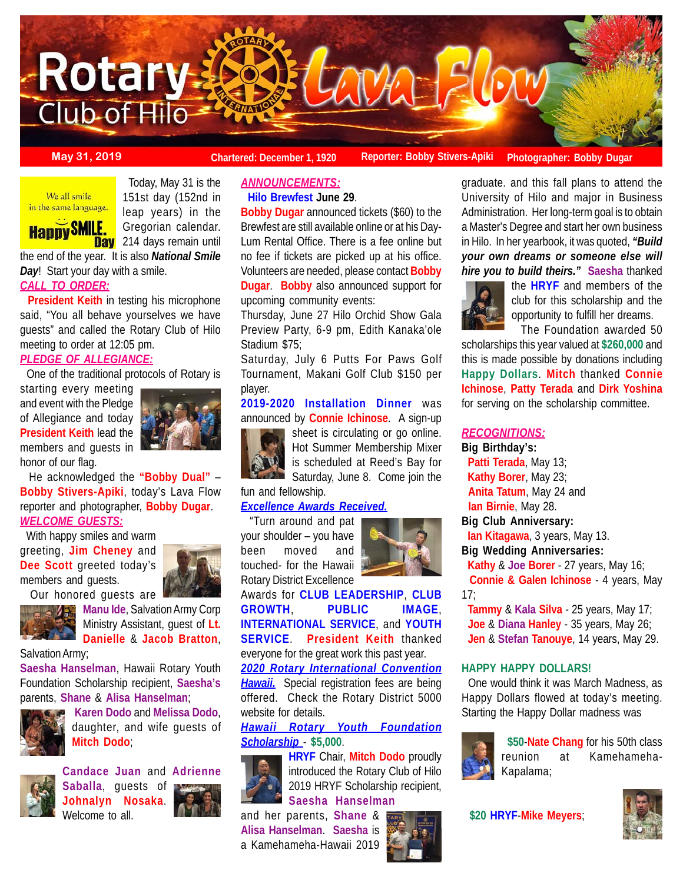

**Bobby Dugar** announced tickets (\$60) to the Brewfest are still available online or at his Day-Lum Rental Office. There is a fee online but no fee if tickets are picked up at his office. Volunteers are needed, please contact **Bobby Dugar**. **Bobby** also announced support for

Thursday, June 27 Hilo Orchid Show Gala Preview Party, 6-9 pm, Edith Kanaka'ole

Saturday, July 6 Putts For Paws Golf Tournament, Makani Golf Club \$150 per

**2019-2020 Installation Dinner** was announced by **Connie Ichinose**. A sign-up

> sheet is circulating or go online. Hot Summer Membership Mixer is scheduled at Reed's Bay for Saturday, June 8. Come join the

Stadium \$75;

fun and fellowship.

*Excellence Awards Received.* "Turn around and pat your shoulder – you have

Rotary District Excellence

player.

*ANNOUNCEMENTS:* **Hilo Brewfest June 29**.

upcoming community events:

**May 31, 2019 Chartered: December 1, 1920** Reporter: Bobby Stivers-Apiki Photographer: Bobby Dugar

#### We all smile in the same language.



 Today, May 31 is the 151st day (152nd in leap years) in the Gregorian calendar. **Day** 214 days remain until

the end of the year. It is also *National Smile Day*! Start your day with a smile.

# *CALL TO ORDER:*

 **President Keith** in testing his microphone said, "You all behave yourselves we have guests" and called the Rotary Club of Hilo meeting to order at 12:05 pm.

## *PLEDGE OF ALLEGIANCE:*

One of the traditional protocols of Rotary is

starting every meeting and event with the Pledge of Allegiance and today **President Keith** lead the members and guests in honor of our flag.



 He acknowledged the **"Bobby Dual"** – **Bobby Stivers-Apiki**, today's Lava Flow reporter and photographer, **Bobby Dugar**. *WELCOME GUESTS:*

 With happy smiles and warm greeting, **Jim Cheney** and Dee Scott greeted today's members and guests. Our honored guests are





Ministry Assistant, guest of **Lt. Danielle** & **Jacob Bratton**,

## Salvation Army;

**Saesha Hanselman**, Hawaii Rotary Youth Foundation Scholarship recipient, **Saesha's** parents, **Shane** & **Alisa Hanselman**;



**Karen Dodo** and **Melissa Dodo**, daughter, and wife guests of **Mitch Dodo**;



**Candace Juan** and **Adrienne Saballa**, guests of **Johnalyn Nosaka**. Welcome to all.



**HRYF** Chair, **Mitch Dodo** proudly introduced the Rotary Club of Hilo 2019 HRYF Scholarship recipient, **Saesha Hanselman**

and her parents, **Shane** & **Alisa Hanselman**. **Saesha** is a Kamehameha-Hawaii 2019



Awards for **CLUB LEADERSHIP**, **CLUB GROWTH**, **PUBLIC IMAGE**, **INTERNATIONAL SERVICE**, and **YOUTH SERVICE**. **President Keith** thanked everyone for the great work this past year.

*2020 Rotary International Convention* **Hawaii.** Special registration fees are being offered. Check the Rotary District 5000 website for details.

*Hawaii Rotary Youth Foundation Scholarship* - **\$5,000**.



graduate. and this fall plans to attend the University of Hilo and major in Business Administration. Her long-term goal is to obtain a Master's Degree and start her own business in Hilo. In her yearbook, it was quoted, *"Build your own dreams or someone else will hire you to build theirs."* **Saesha** thanked



the **HRYF** and members of the club for this scholarship and the opportunity to fulfill her dreams. The Foundation awarded 50

scholarships this year valued at **\$260,000** and this is made possible by donations including **Happy Dollars**. **Mitch** thanked **Connie Ichinose**, **Patty Terada** and **Dirk Yoshina** for serving on the scholarship committee.

## *RECOGNITIONS:*

**Big Birthday's:**

 **Patti Terada**, May 13; **Kathy Borer**, May 23; **Anita Tatum**, May 24 and **Ian Birnie**, May 28.

**Big Club Anniversary:**

**Ian Kitagawa**, 3 years, May 13.

**Big Wedding Anniversaries: Kathy** & **Joe Borer** - 27 years, May 16; **Connie & Galen Ichinose** - 4 years, May

17;

 **Tammy** & **Kala Silva** - 25 years, May 17; **Joe** & **Diana Hanley** - 35 years, May 26; **Jen** & **Stefan Tanouye**, 14 years, May 29.

#### **HAPPY HAPPY DOLLARS!**

 One would think it was March Madness, as Happy Dollars flowed at today's meeting. Starting the Happy Dollar madness was



 **\$50**-**Nate Chang** for his 50th class reunion at Kamehameha-Kapalama;

**\$20 HRYF**-**Mike Meyers**;